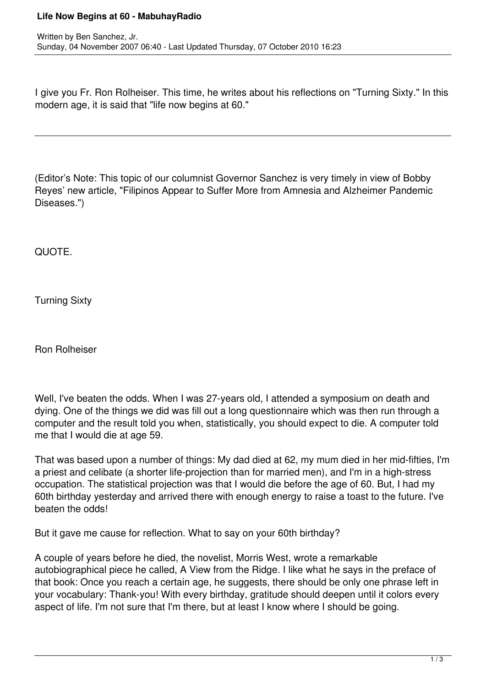## **Life Now Begins at 60 - MabuhayRadio**

I give you Fr. Ron Rolheiser. This time, he writes about his reflections on "Turning Sixty." In this modern age, it is said that "life now begins at 60."

(Editor's Note: This topic of our columnist Governor Sanchez is very timely in view of Bobby Reyes' new article, "Filipinos Appear to Suffer More from Amnesia and Alzheimer Pandemic Diseases.")

QUOTE.

Turning Sixty

Ron Rolheiser

Well, I've beaten the odds. When I was 27-years old, I attended a symposium on death and dying. One of the things we did was fill out a long questionnaire which was then run through a computer and the result told you when, statistically, you should expect to die. A computer told me that I would die at age 59.

That was based upon a number of things: My dad died at 62, my mum died in her mid-fifties, I'm a priest and celibate (a shorter life-projection than for married men), and I'm in a high-stress occupation. The statistical projection was that I would die before the age of 60. But, I had my 60th birthday yesterday and arrived there with enough energy to raise a toast to the future. I've beaten the odds!

But it gave me cause for reflection. What to say on your 60th birthday?

A couple of years before he died, the novelist, Morris West, wrote a remarkable autobiographical piece he called, A View from the Ridge. I like what he says in the preface of that book: Once you reach a certain age, he suggests, there should be only one phrase left in your vocabulary: Thank-you! With every birthday, gratitude should deepen until it colors every aspect of life. I'm not sure that I'm there, but at least I know where I should be going.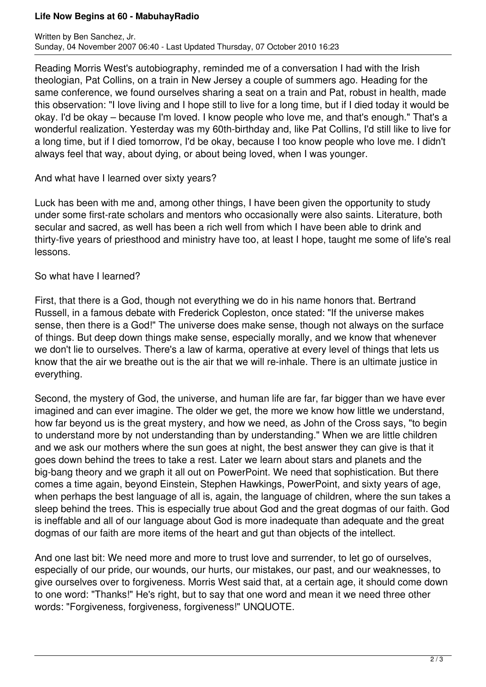## **Life Now Begins at 60 - MabuhayRadio**

Reading Morris West's autobiography, reminded me of a conversation I had with the Irish theologian, Pat Collins, on a train in New Jersey a couple of summers ago. Heading for the same conference, we found ourselves sharing a seat on a train and Pat, robust in health, made this observation: "I love living and I hope still to live for a long time, but if I died today it would be okay. I'd be okay – because I'm loved. I know people who love me, and that's enough." That's a wonderful realization. Yesterday was my 60th-birthday and, like Pat Collins, I'd still like to live for a long time, but if I died tomorrow, I'd be okay, because I too know people who love me. I didn't always feel that way, about dying, or about being loved, when I was younger.

## And what have I learned over sixty years?

Luck has been with me and, among other things, I have been given the opportunity to study under some first-rate scholars and mentors who occasionally were also saints. Literature, both secular and sacred, as well has been a rich well from which I have been able to drink and thirty-five years of priesthood and ministry have too, at least I hope, taught me some of life's real lessons.

## So what have I learned?

First, that there is a God, though not everything we do in his name honors that. Bertrand Russell, in a famous debate with Frederick Copleston, once stated: "If the universe makes sense, then there is a God!" The universe does make sense, though not always on the surface of things. But deep down things make sense, especially morally, and we know that whenever we don't lie to ourselves. There's a law of karma, operative at every level of things that lets us know that the air we breathe out is the air that we will re-inhale. There is an ultimate justice in everything.

Second, the mystery of God, the universe, and human life are far, far bigger than we have ever imagined and can ever imagine. The older we get, the more we know how little we understand, how far beyond us is the great mystery, and how we need, as John of the Cross says, "to begin to understand more by not understanding than by understanding." When we are little children and we ask our mothers where the sun goes at night, the best answer they can give is that it goes down behind the trees to take a rest. Later we learn about stars and planets and the big-bang theory and we graph it all out on PowerPoint. We need that sophistication. But there comes a time again, beyond Einstein, Stephen Hawkings, PowerPoint, and sixty years of age, when perhaps the best language of all is, again, the language of children, where the sun takes a sleep behind the trees. This is especially true about God and the great dogmas of our faith. God is ineffable and all of our language about God is more inadequate than adequate and the great dogmas of our faith are more items of the heart and gut than objects of the intellect.

And one last bit: We need more and more to trust love and surrender, to let go of ourselves, especially of our pride, our wounds, our hurts, our mistakes, our past, and our weaknesses, to give ourselves over to forgiveness. Morris West said that, at a certain age, it should come down to one word: "Thanks!" He's right, but to say that one word and mean it we need three other words: "Forgiveness, forgiveness, forgiveness!" UNQUOTE.